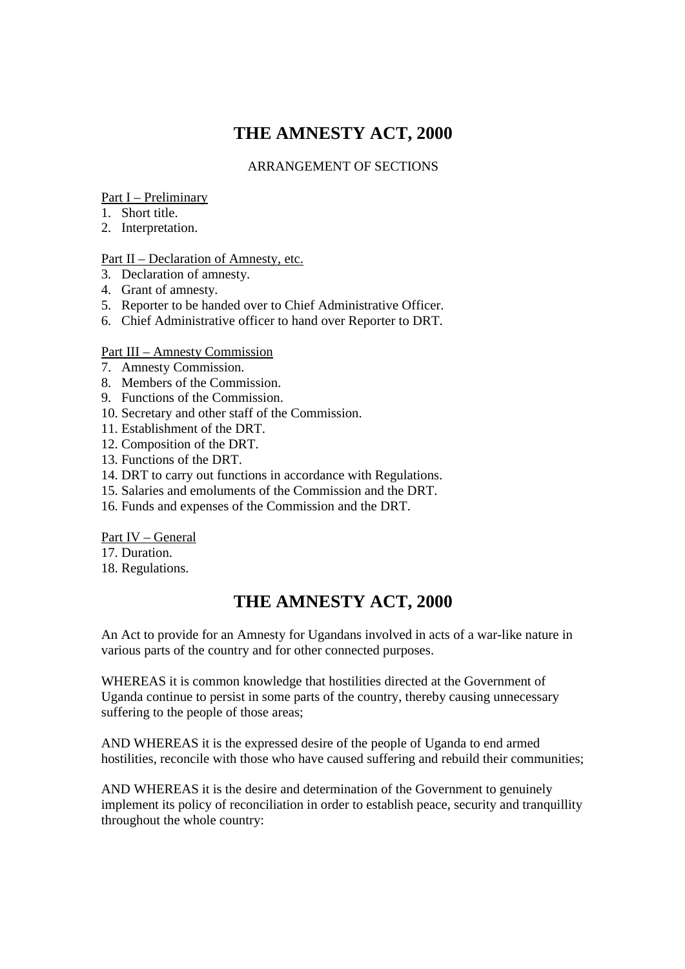# **THE AMNESTY ACT, 2000**

### ARRANGEMENT OF SECTIONS

### Part I – Preliminary

- 1. Short title.
- 2. Interpretation.

### Part II – Declaration of Amnesty, etc.

- 3. Declaration of amnesty.
- 4. Grant of amnesty.
- 5. Reporter to be handed over to Chief Administrative Officer.
- 6. Chief Administrative officer to hand over Reporter to DRT.

### Part III – Amnesty Commission

- 7. Amnesty Commission.
- 8. Members of the Commission.
- 9. Functions of the Commission.
- 10. Secretary and other staff of the Commission.
- 11. Establishment of the DRT.
- 12. Composition of the DRT.
- 13. Functions of the DRT.
- 14. DRT to carry out functions in accordance with Regulations.
- 15. Salaries and emoluments of the Commission and the DRT.
- 16. Funds and expenses of the Commission and the DRT.

#### Part IV – General

- 17. Duration.
- 18. Regulations.

## **THE AMNESTY ACT, 2000**

An Act to provide for an Amnesty for Ugandans involved in acts of a war-like nature in various parts of the country and for other connected purposes.

WHEREAS it is common knowledge that hostilities directed at the Government of Uganda continue to persist in some parts of the country, thereby causing unnecessary suffering to the people of those areas:

AND WHEREAS it is the expressed desire of the people of Uganda to end armed hostilities, reconcile with those who have caused suffering and rebuild their communities;

AND WHEREAS it is the desire and determination of the Government to genuinely implement its policy of reconciliation in order to establish peace, security and tranquillity throughout the whole country: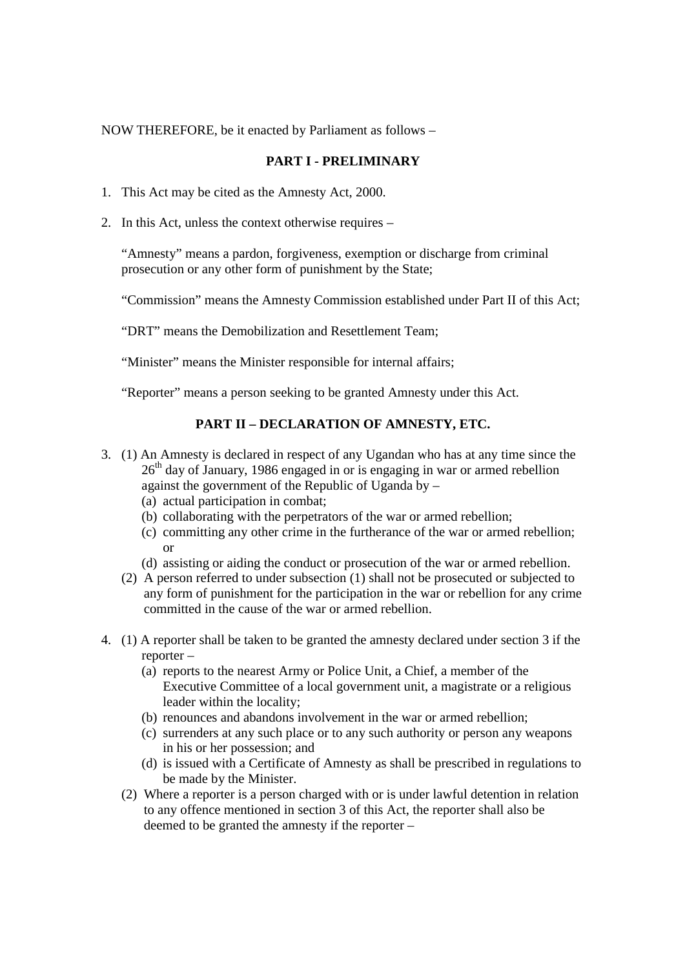NOW THEREFORE, be it enacted by Parliament as follows –

### **PART I - PRELIMINARY**

- 1. This Act may be cited as the Amnesty Act, 2000.
- 2. In this Act, unless the context otherwise requires –

"Amnesty" means a pardon, forgiveness, exemption or discharge from criminal prosecution or any other form of punishment by the State;

"Commission" means the Amnesty Commission established under Part II of this Act;

"DRT" means the Demobilization and Resettlement Team;

"Minister" means the Minister responsible for internal affairs;

"Reporter" means a person seeking to be granted Amnesty under this Act.

### **PART II – DECLARATION OF AMNESTY, ETC.**

- 3. (1) An Amnesty is declared in respect of any Ugandan who has at any time since the  $26<sup>th</sup>$  day of January, 1986 engaged in or is engaging in war or armed rebellion against the government of the Republic of Uganda by –
	- (a) actual participation in combat;
	- (b) collaborating with the perpetrators of the war or armed rebellion;
	- (c) committing any other crime in the furtherance of the war or armed rebellion; or
	- (d) assisting or aiding the conduct or prosecution of the war or armed rebellion.
	- (2) A person referred to under subsection (1) shall not be prosecuted or subjected to any form of punishment for the participation in the war or rebellion for any crime committed in the cause of the war or armed rebellion.
- 4. (1) A reporter shall be taken to be granted the amnesty declared under section 3 if the reporter –
	- (a) reports to the nearest Army or Police Unit, a Chief, a member of the Executive Committee of a local government unit, a magistrate or a religious leader within the locality;
	- (b) renounces and abandons involvement in the war or armed rebellion;
	- (c) surrenders at any such place or to any such authority or person any weapons in his or her possession; and
	- (d) is issued with a Certificate of Amnesty as shall be prescribed in regulations to be made by the Minister.
	- (2) Where a reporter is a person charged with or is under lawful detention in relation to any offence mentioned in section 3 of this Act, the reporter shall also be deemed to be granted the amnesty if the reporter –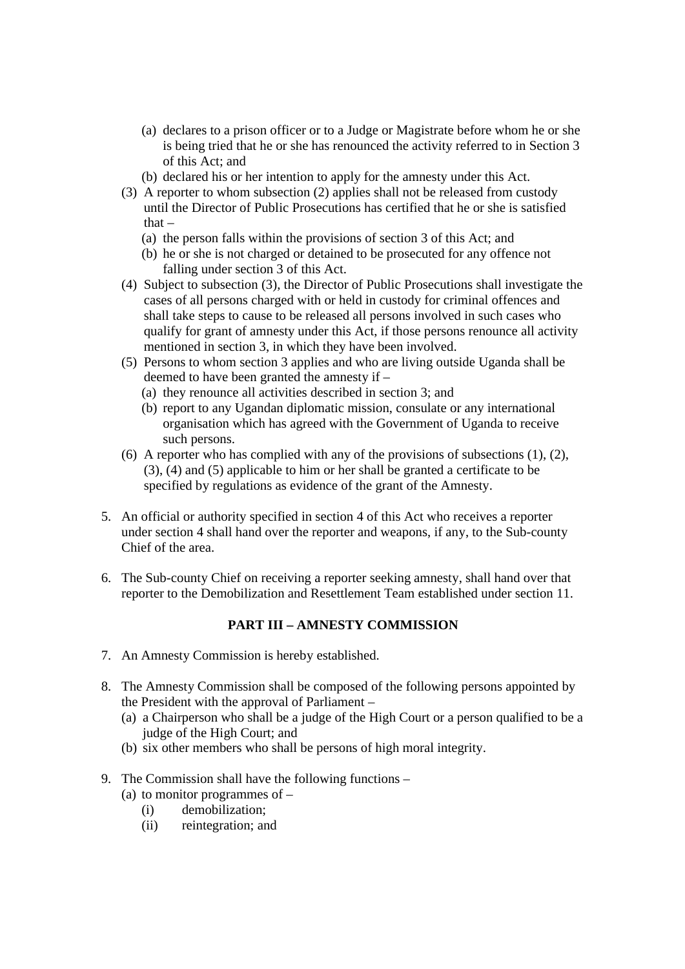- (a) declares to a prison officer or to a Judge or Magistrate before whom he or she is being tried that he or she has renounced the activity referred to in Section 3 of this Act; and
- (b) declared his or her intention to apply for the amnesty under this Act.
- (3) A reporter to whom subsection (2) applies shall not be released from custody until the Director of Public Prosecutions has certified that he or she is satisfied that –
	- (a) the person falls within the provisions of section 3 of this Act; and
	- (b) he or she is not charged or detained to be prosecuted for any offence not falling under section 3 of this Act.
- (4) Subject to subsection (3), the Director of Public Prosecutions shall investigate the cases of all persons charged with or held in custody for criminal offences and shall take steps to cause to be released all persons involved in such cases who qualify for grant of amnesty under this Act, if those persons renounce all activity mentioned in section 3, in which they have been involved.
- (5) Persons to whom section 3 applies and who are living outside Uganda shall be deemed to have been granted the amnesty if –
	- (a) they renounce all activities described in section 3; and
	- (b) report to any Ugandan diplomatic mission, consulate or any international organisation which has agreed with the Government of Uganda to receive such persons.
- (6) A reporter who has complied with any of the provisions of subsections  $(1)$ ,  $(2)$ , (3), (4) and (5) applicable to him or her shall be granted a certificate to be specified by regulations as evidence of the grant of the Amnesty.
- 5. An official or authority specified in section 4 of this Act who receives a reporter under section 4 shall hand over the reporter and weapons, if any, to the Sub-county Chief of the area.
- 6. The Sub-county Chief on receiving a reporter seeking amnesty, shall hand over that reporter to the Demobilization and Resettlement Team established under section 11.

### **PART III – AMNESTY COMMISSION**

- 7. An Amnesty Commission is hereby established.
- 8. The Amnesty Commission shall be composed of the following persons appointed by the President with the approval of Parliament –
	- (a) a Chairperson who shall be a judge of the High Court or a person qualified to be a judge of the High Court; and
	- (b) six other members who shall be persons of high moral integrity.

### 9. The Commission shall have the following functions –

- (a) to monitor programmes of
	- (i) demobilization;
	- (ii) reintegration; and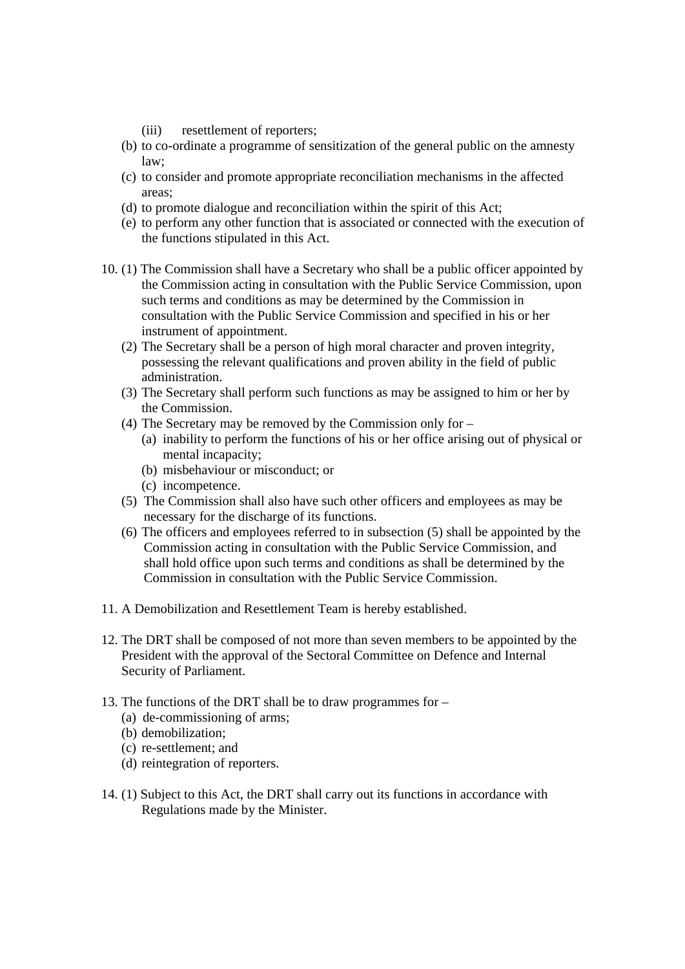- (iii) resettlement of reporters;
- (b) to co-ordinate a programme of sensitization of the general public on the amnesty law;
- (c) to consider and promote appropriate reconciliation mechanisms in the affected areas;
- (d) to promote dialogue and reconciliation within the spirit of this Act;
- (e) to perform any other function that is associated or connected with the execution of the functions stipulated in this Act.
- 10. (1) The Commission shall have a Secretary who shall be a public officer appointed by the Commission acting in consultation with the Public Service Commission, upon such terms and conditions as may be determined by the Commission in consultation with the Public Service Commission and specified in his or her instrument of appointment.
	- (2) The Secretary shall be a person of high moral character and proven integrity, possessing the relevant qualifications and proven ability in the field of public administration.
	- (3) The Secretary shall perform such functions as may be assigned to him or her by the Commission.
	- (4) The Secretary may be removed by the Commission only for
		- (a) inability to perform the functions of his or her office arising out of physical or mental incapacity;
		- (b) misbehaviour or misconduct; or
		- (c) incompetence.
	- (5) The Commission shall also have such other officers and employees as may be necessary for the discharge of its functions.
	- (6) The officers and employees referred to in subsection (5) shall be appointed by the Commission acting in consultation with the Public Service Commission, and shall hold office upon such terms and conditions as shall be determined by the Commission in consultation with the Public Service Commission.
- 11. A Demobilization and Resettlement Team is hereby established.
- 12. The DRT shall be composed of not more than seven members to be appointed by the President with the approval of the Sectoral Committee on Defence and Internal Security of Parliament.
- 13. The functions of the DRT shall be to draw programmes for
	- (a) de-commissioning of arms;
	- (b) demobilization;
	- (c) re-settlement; and
	- (d) reintegration of reporters.
- 14. (1) Subject to this Act, the DRT shall carry out its functions in accordance with Regulations made by the Minister.